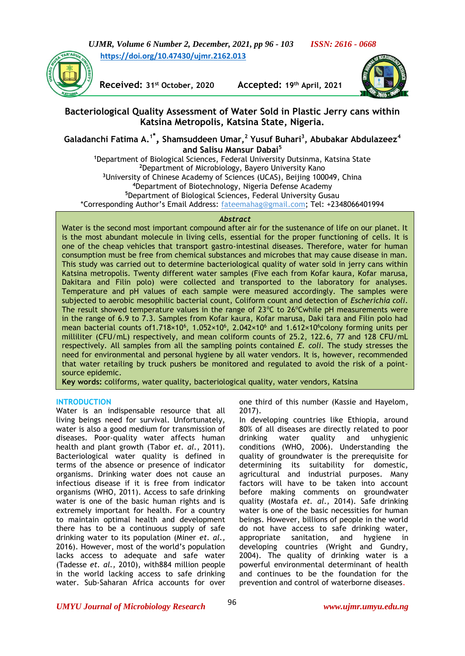



**Received: 31st October, 2020 Accepted: 19th April, 2021**



## **Bacteriological Quality Assessment of Water Sold in Plastic Jerry cans within Katsina Metropolis, Katsina State, Nigeria.**

**Galadanchi Fatima A. 1\* , Shamsuddeen Umar, <sup>2</sup> Yusuf Buhari<sup>3</sup> , Abubakar Abdulazeez<sup>4</sup> and Salisu Mansur Dabai<sup>5</sup>**

Department of Biological Sciences, Federal University Dutsinma, Katsina State Department of Microbiology, Bayero University Kano University of Chinese Academy of Sciences (UCAS), Beijing 100049, China Department of Biotechnology, Nigeria Defense Academy Department of Biological Sciences, Federal University Gusau \*Corresponding Author's Email Address: [fateemahag@gmail.com;](mailto:fateemahag@gmail.com) Tel: +2348066401994

#### *Abstract*

Water is the second most important compound after air for the sustenance of life on our planet. It is the most abundant molecule in living cells, essential for the proper functioning of cells. It is one of the cheap vehicles that transport gastro-intestinal diseases. Therefore, water for human consumption must be free from chemical substances and microbes that may cause disease in man. This study was carried out to determine bacteriological quality of water sold in jerry cans within Katsina metropolis. Twenty different water samples (Five each from Kofar kaura, Kofar marusa, Dakitara and Filin polo) were collected and transported to the laboratory for analyses. Temperature and pH values of each sample were measured accordingly. The samples were subjected to aerobic mesophilic bacterial count, Coliform count and detection of *Escherichia coli*. The result showed temperature values in the range of  $23^{\circ}C$  to  $26^{\circ}C$  while pH measurements were in the range of 6.9 to 7.3. Samples from Kofar kaura, Kofar marusa, Daki tara and Filin polo had mean bacterial counts of 1.718×10<sup>6</sup>, 1.052×10<sup>6</sup>, 2.042×10<sup>6</sup> and 1.612×10<sup>6</sup>colony forming units per milliliter (CFU/mL) respectively, and mean coliform counts of 25.2, 122.6, 77 and 128 CFU/mL respectively. All samples from all the sampling points contained *E. coli*. The study stresses the need for environmental and personal hygiene by all water vendors. It is, however, recommended that water retailing by truck pushers be monitored and regulated to avoid the risk of a pointsource epidemic.

**Key words:** coliforms, water quality, bacteriological quality, water vendors, Katsina

## **INTRODUCTION**

Water is an indispensable resource that all living beings need for survival. Unfortunately, water is also a good medium for transmission of diseases. Poor-quality water affects human health and plant growth (Tabor *et. al.,* 2011). Bacteriological water quality is defined in terms of the absence or presence of indicator organisms. Drinking water does not cause an infectious disease if it is free from indicator organisms (WHO, 2011). Access to safe drinking water is one of the basic human rights and is extremely important for health. For a country to maintain optimal health and development there has to be a continuous supply of safe drinking water to its population (Miner *et. al.,* 2016). However, most of the world's population lacks access to adequate and safe water (Tadesse *et. al.,* 2010), with884 million people in the world lacking access to safe drinking water. Sub-Saharan Africa accounts for over

one third of this number (Kassie and Hayelom, 2017).

In developing countries like Ethiopia, around 80% of all diseases are directly related to poor drinking water quality and unhygienic conditions (WHO, 2006). Understanding the quality of groundwater is the prerequisite for determining its suitability for domestic, agricultural and industrial purposes. Many factors will have to be taken into account before making comments on groundwater quality (Mostafa *et. al.,* 2014). Safe drinking water is one of the basic necessities for human beings. However, billions of people in the world do not have access to safe drinking water, appropriate sanitation, and hygiene in developing countries (Wright and Gundry, 2004). The quality of drinking water is a powerful environmental determinant of health and continues to be the foundation for the prevention and control of waterborne diseases.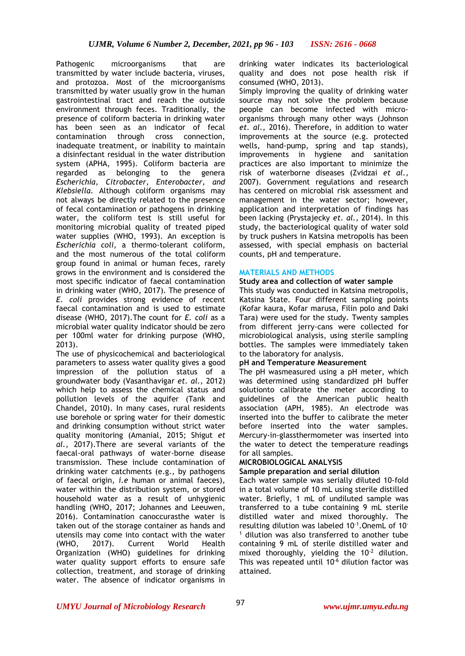Pathogenic microorganisms that are transmitted by water include bacteria, viruses, and protozoa. Most of the microorganisms transmitted by water usually grow in the human gastrointestinal tract and reach the outside environment through feces. Traditionally, the presence of coliform bacteria in drinking water has been seen as an indicator of fecal contamination through cross connection, inadequate treatment, or inability to maintain a disinfectant residual in the water distribution system (APHA, 1995). Coliform bacteria are regarded as belonging to the genera *Escherichia, Citrobacter, Enterobacter, and Klebsiella.* Although coliform organisms may not always be directly related to the presence of fecal contamination or pathogens in drinking water, the coliform test is still useful for monitoring microbial quality of treated piped water supplies (WHO, 1993). An exception is *Escherichia coli*, a thermo-tolerant coliform, and the most numerous of the total coliform group found in animal or human feces, rarely grows in the environment and is considered the most specific indicator of faecal contamination in drinking water (WHO, 2017). The presence of *E. coli* provides strong evidence of recent faecal contamination and is used to estimate disease (WHO, 2017).The count for *E. coli* as a microbial water quality indicator should be zero per 100ml water for drinking purpose (WHO, 2013).

The use of physicochemical and bacteriological parameters to assess water quality gives a good impression of the pollution status of a groundwater body (Vasanthavigar *et. al.,* 2012) which help to assess the chemical status and pollution levels of the aquifer (Tank and Chandel, 2010). In many cases, rural residents use borehole or spring water for their domestic and drinking consumption without strict water quality monitoring (Amanial, 2015; Shigut *et al.,* 2017).There are several variants of the faecal-oral pathways of water-borne disease transmission. These include contamination of drinking water catchments (e.g., by pathogens of faecal origin, *i.e* human or animal faeces), water within the distribution system, or stored household water as a result of unhygienic handling (WHO, 2017; Johannes and Leeuwen, 2016). Contamination canoccurasthe water is taken out of the storage container as hands and utensils may come into contact with the water (WHO, 2017). Current World Health Organization (WHO) guidelines for drinking water quality support efforts to ensure safe collection, treatment, and storage of drinking water. The absence of indicator organisms in drinking water indicates its bacteriological quality and does not pose health risk if consumed (WHO, 2013).

Simply improving the quality of drinking water source may not solve the problem because people can become infected with microorganisms through many other ways (Johnson *et. al.,* 2016). Therefore, in addition to water improvements at the source (e.g. protected wells, hand-pump, spring and tap stands), improvements in hygiene and sanitation practices are also important to minimize the risk of waterborne diseases (Zvidzai *et al.,* 2007). Government regulations and research has centered on microbial risk assessment and management in the water sector; however, application and interpretation of findings has been lacking (Prystajecky *et. al.,* 2014). In this study, the bacteriological quality of water sold by truck pushers in Katsina metropolis has been assessed, with special emphasis on bacterial counts, pH and temperature.

## **MATERIALS AND METHODS**

#### **Study area and collection of water sample**

This study was conducted in Katsina metropolis, Katsina State. Four different sampling points (Kofar kaura, Kofar marusa, Filin polo and Daki Tara) were used for the study. Twenty samples from different jerry-cans were collected for microbiological analysis, using sterile sampling bottles. The samples were immediately taken to the laboratory for analysis.

#### **pH and Temperature Measurement**

The pH wasmeasured using a pH meter, which was determined using standardized pH buffer solutionto calibrate the meter according to guidelines of the American public health association (APH, 1985). An electrode was inserted into the buffer to calibrate the meter before inserted into the water samples. Mercury-in-glassthermometer was inserted into the water to detect the temperature readings for all samples.

## **MICROBIOLOGICAL ANALYSIS**

## **Sample preparation and serial dilution**

Each water sample was serially diluted 10-fold in a total volume of 10 mL using sterile distilled water. Briefly, 1 mL of undiluted sample was transferred to a tube containing 9 mL sterile distilled water and mixed thoroughly. The resulting dilution was labeled  $10^{-1}$ . OnemL of 10  $<sup>1</sup>$  dilution was also transferred to another tube</sup> containing 9 mL of sterile distilled water and mixed thoroughly, yielding the  $10^{-2}$  dilution. This was repeated until  $10<sup>-6</sup>$  dilution factor was attained.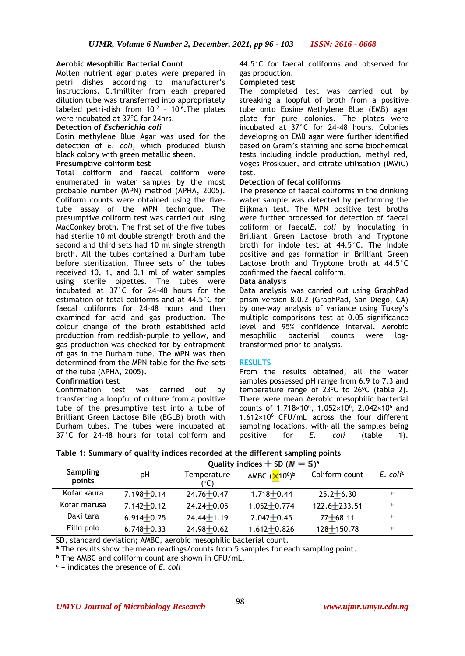## **Aerobic Mesophilic Bacterial Count**

Molten nutrient agar plates were prepared in petri dishes according to manufacturer's instructions. 0.1milliter from each prepared dilution tube was transferred into appropriately labeled petri-dish from  $10^{-2}$  - 10<sup>-6</sup>. The plates were incubated at 37°C for 24hrs.

#### **Detection of** *Escherichia coli*

Eosin methylene Blue Agar was used for the detection of *E. coli,* which produced bluish black colony with green metallic sheen.

#### **Presumptive coliform test**

Total coliform and faecal coliform were enumerated in water samples by the most probable number (MPN) method (APHA, 2005). Coliform counts were obtained using the fivetube assay of the MPN technique. The presumptive coliform test was carried out using MacConkey broth. The first set of the five tubes had sterile 10 ml double strength broth and the second and third sets had 10 ml single strength broth. All the tubes contained a Durham tube before sterilization. Three sets of the tubes received 10, 1, and 0.1 ml of water samples using sterile pipettes. The tubes were incubated at 37°C for 24–48 hours for the estimation of total coliforms and at 44.5°C for faecal coliforms for 24–48 hours and then examined for acid and gas production. The colour change of the broth established acid production from reddish-purple to yellow, and gas production was checked for by entrapment of gas in the Durham tube. The MPN was then determined from the MPN table for the five sets of the tube (APHA, 2005).

#### **Confirmation test**

Confirmation test was carried out by transferring a loopful of culture from a positive tube of the presumptive test into a tube of Brilliant Green Lactose Bile (BGLB) broth with Durham tubes. The tubes were incubated at 37°C for 24–48 hours for total coliform and 44.5°C for faecal coliforms and observed for gas production.

#### **Completed test**

The completed test was carried out by streaking a loopful of broth from a positive tube onto Eosine Methylene Blue (EMB) agar plate for pure colonies. The plates were incubated at 37°C for 24–48 hours. Colonies developing on EMB agar were further identified based on Gram's staining and some biochemical tests including indole production, methyl red, Voges-Proskauer, and citrate utilisation (IMViC) test.

#### **Detection of fecal coliforms**

The presence of faecal coliforms in the drinking water sample was detected by performing the Eijkman test. The MPN positive test broths were further processed for detection of faecal coliform or faecal*E. coli* by inoculating in Brilliant Green Lactose broth and Tryptone broth for indole test at 44.5°C. The indole positive and gas formation in Brilliant Green Lactose broth and Tryptone broth at 44.5°C confirmed the faecal coliform.

#### **Data analysis**

Data analysis was carried out using GraphPad prism version 8.0.2 (GraphPad, San Diego, CA) by one-way analysis of variance using Tukey's multiple comparisons test at 0.05 significance level and 95% confidence interval. Aerobic mesophilic bacterial counts were logtransformed prior to analysis.

#### **RESULTS**

From the results obtained, all the water samples possessed pH range from 6.9 to 7.3 and temperature range of  $23^{\circ}$ C to  $26^{\circ}$ C (table 2). There were mean Aerobic mesophilic bacterial counts of 1.718×10<sup>6</sup>, 1.052×10<sup>6</sup>, 2.042×10<sup>6</sup> and  $1.612\times10^6$  CFU/mL across the four different sampling locations, with all the samples being positive for *E. coli* (table 1).

|  |  |  |  |  | Table 1: Summary of quality indices recorded at the different sampling points |  |
|--|--|--|--|--|-------------------------------------------------------------------------------|--|
|--|--|--|--|--|-------------------------------------------------------------------------------|--|

|                           |                | Quality indices $\pm$ SD ( $N = 5$ ) <sup>a</sup> |                 |                  |                        |  |
|---------------------------|----------------|---------------------------------------------------|-----------------|------------------|------------------------|--|
| <b>Sampling</b><br>points | рH             | Temperature<br>(°C)                               | AMBC $(X106)b$  | Coliform count   | $E.$ coli <sup>c</sup> |  |
| Kofar kaura               | $7.198 + 0.14$ | $24.76 + 0.47$                                    | $1.718 + 0.44$  | $25.2 + 6.30$    | $\ddot{}$              |  |
| Kofar marusa              | $7.142 + 0.12$ | $24.24 + 0.05$                                    | $1.052 + 0.774$ | $122.6 + 233.51$ | $\ddot{}$              |  |
| Daki tara                 | $6.914 + 0.25$ | $24.44 + 1.19$                                    | $2.042 + 0.45$  | $77 + 68.11$     | $\ddot{}$              |  |
| Filin polo                | $6.748 + 0.33$ | $24.98 + 0.62$                                    | $1.612 + 0.826$ | $128 + 150.78$   | $\ddot{}$              |  |

SD, standard deviation; AMBC, aerobic mesophilic bacterial count.

**<sup>a</sup>** The results show the mean readings/counts from 5 samples for each sampling point.

**<sup>b</sup>** The AMBC and coliform count are shown in CFU/mL.

**<sup>c</sup>** + indicates the presence of *E. coli*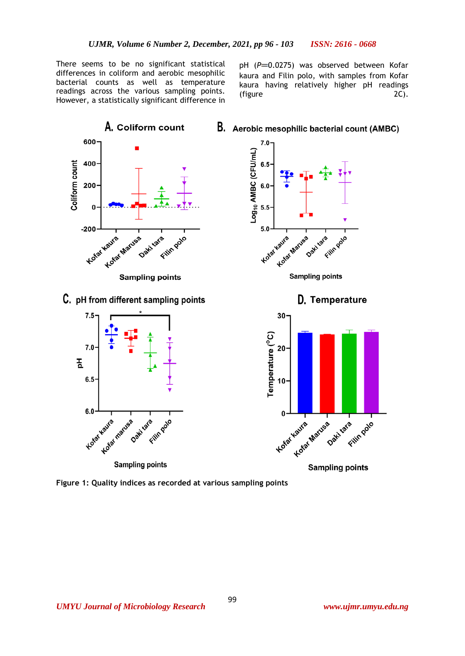There seems to be no significant statistical differences in coliform and aerobic mesophilic bacterial counts as well as temperature readings across the various sampling points. However, a statistically significant difference in

pH (P=0.0275) was observed between Kofar kaura and Filin polo, with samples from Kofar kaura having relatively higher pH readings (figure 2C).



**Figure 1: Quality indices as recorded at various sampling points**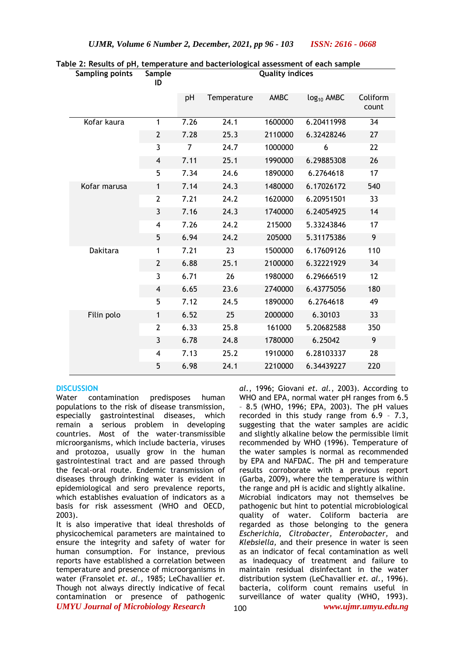| <b>Sampling points</b> | Sample<br>ID   | <b>Quality indices</b> |             |         |                        |                   |
|------------------------|----------------|------------------------|-------------|---------|------------------------|-------------------|
|                        |                | pH                     | Temperature | AMBC    | log <sub>10</sub> AMBC | Coliform<br>count |
| Kofar kaura            | $\mathbf{1}$   | 7.26                   | 24.1        | 1600000 | 6.20411998             | 34                |
|                        | $\mathbf{2}$   | 7.28                   | 25.3        | 2110000 | 6.32428246             | 27                |
|                        | 3              | 7                      | 24.7        | 1000000 | 6                      | 22                |
|                        | 4              | 7.11                   | 25.1        | 1990000 | 6.29885308             | 26                |
|                        | 5              | 7.34                   | 24.6        | 1890000 | 6.2764618              | 17                |
| Kofar marusa           | 1              | 7.14                   | 24.3        | 1480000 | 6.17026172             | 540               |
|                        | $\overline{2}$ | 7.21                   | 24.2        | 1620000 | 6.20951501             | 33                |
|                        | 3              | 7.16                   | 24.3        | 1740000 | 6.24054925             | 14                |
|                        | $\overline{4}$ | 7.26                   | 24.2        | 215000  | 5.33243846             | 17                |
|                        | 5              | 6.94                   | 24.2        | 205000  | 5.31175386             | 9                 |
| Dakitara               | $\mathbf{1}$   | 7.21                   | 23          | 1500000 | 6.17609126             | 110               |
|                        | $\overline{2}$ | 6.88                   | 25.1        | 2100000 | 6.32221929             | 34                |
|                        | 3              | 6.71                   | 26          | 1980000 | 6.29666519             | 12                |
|                        | 4              | 6.65                   | 23.6        | 2740000 | 6.43775056             | 180               |
|                        | 5              | 7.12                   | 24.5        | 1890000 | 6.2764618              | 49                |
| Filin polo             | $\mathbf{1}$   | 6.52                   | 25          | 2000000 | 6.30103                | 33                |
|                        | $\overline{2}$ | 6.33                   | 25.8        | 161000  | 5.20682588             | 350               |
|                        | 3              | 6.78                   | 24.8        | 1780000 | 6.25042                | 9                 |
|                        | 4              | 7.13                   | 25.2        | 1910000 | 6.28103337             | 28                |
|                        | 5              | 6.98                   | 24.1        | 2210000 | 6.34439227             | 220               |

# **Table 2: Results of pH, temperature and bacteriological assessment of each sample**

#### **DISCUSSION**

Water contamination predisposes human populations to the risk of disease transmission, especially gastrointestinal diseases, which remain a serious problem in developing countries. Most of the water-transmissible microorganisms, which include bacteria, viruses and protozoa, usually grow in the human gastrointestinal tract and are passed through the fecal-oral route. Endemic transmission of diseases through drinking water is evident in epidemiological and sero prevalence reports, which establishes evaluation of indicators as a basis for risk assessment (WHO and OECD, 2003).

*UMYU Journal of Microbiology Research www.ujmr.umyu.edu.ng* It is also imperative that ideal thresholds of physicochemical parameters are maintained to ensure the integrity and safety of water for human consumption. For instance, previous reports have established a correlation between temperature and presence of microorganisms in water (Fransolet *et. al.,* 1985; LeChavallier *et.*  Though not always directly indicative of fecal contamination or presence of pathogenic

*al.*, 1996; Giovani *et. al.*, 2003). According to WHO and EPA, normal water pH ranges from 6.5 – 8.5 (WHO, 1996; EPA, 2003). The pH values recorded in this study range from 6.9 – 7.3, suggesting that the water samples are acidic and slightly alkaline below the permissible limit recommended by WHO (1996). Temperature of the water samples is normal as recommended by EPA and NAFDAC. The pH and temperature results corroborate with a previous report (Garba, 2009), where the temperature is within the range and pH is acidic and slightly alkaline. Microbial indicators may not themselves be pathogenic but hint to potential microbiological quality of water. Coliform bacteria are regarded as those belonging to the genera *Escherichia, Citrobacter, Enterobacter,* and *Klebsiella,* and their presence in water is seen as an indicator of fecal contamination as well as inadequacy of treatment and failure to maintain residual disinfectant in the water distribution system (LeChavallier *et. al.*, 1996). bacteria, coliform count remains useful in surveillance of water quality (WHO, 1993).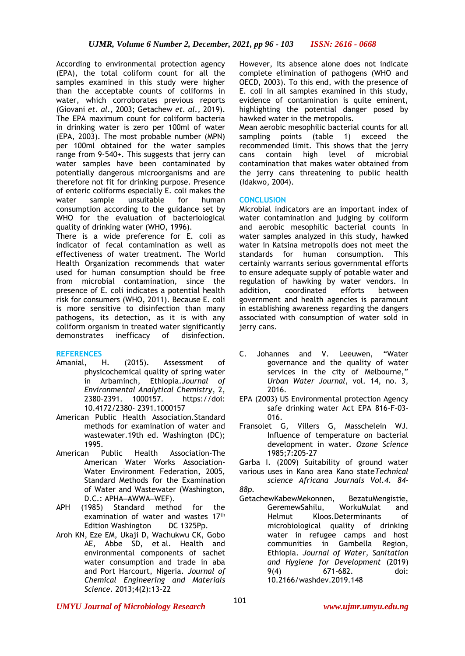According to environmental protection agency (EPA), the total coliform count for all the samples examined in this study were higher than the acceptable counts of coliforms in water, which corroborates previous reports (Giovani *et. al*., 2003; Getachew *et. al.,* 2019). The EPA maximum count for coliform bacteria in drinking water is zero per 100ml of water (EPA, 2003). The most probable number (MPN) per 100ml obtained for the water samples range from 9-540+. This suggests that jerry can water samples have been contaminated by potentially dangerous microorganisms and are therefore not fit for drinking purpose. Presence of enteric coliforms especially E. coli makes the water sample unsuitable for human consumption according to the guidance set by WHO for the evaluation of bacteriological quality of drinking water (WHO, 1996). There is a wide preference for E. coli as indicator of fecal contamination as well as effectiveness of water treatment. The World Health Organization recommends that water used for human consumption should be free from microbial contamination, since the presence of E. coli indicates a potential health risk for consumers (WHO, 2011). Because E. coli is more sensitive to disinfection than many

pathogens, its detection, as it is with any coliform organism in treated water significantly demonstrates inefficacy of disinfection.

#### **REFERENCES**

- Amanial, H. (2015). Assessment of physicochemical quality of spring water in Arbaminch, Ethiopia.*Journal of Environmental Analytical Chemistry*, 2, 2380–2391. 1000157. https://doi: 10.4172/2380- 2391.1000157
- American Public Health Association.Standard methods for examination of water and wastewater.19th ed. Washington (DC); 1995.
- American Public Health Association-The American Water Works Association-Water Environment Federation, 2005, Standard Methods for the Examination of Water and Wastewater (Washington, D.C.: APHA-AWWA-WEF).
- APH (1985) Standard method for the examination of water and wastes 17<sup>th</sup> Edition Washington DC 1325Pp.
- Aroh KN, Eze EM, Ukaji D, Wachukwu CK, Gobo AE, Abbe SD, et al. Health and environmental components of sachet water consumption and trade in aba and Port Harcourt, Nigeria. *Journal of Chemical Engineering and Materials Science*. 2013;4(2):13-22

However, its absence alone does not indicate complete elimination of pathogens (WHO and OECD, 2003). To this end, with the presence of E. coli in all samples examined in this study, evidence of contamination is quite eminent, highlighting the potential danger posed by hawked water in the metropolis.

Mean aerobic mesophilic bacterial counts for all sampling points (table 1) exceed the recommended limit. This shows that the jerry cans contain high level of microbial contamination that makes water obtained from the jerry cans threatening to public health (Idakwo, 2004).

#### **CONCLUSION**

Microbial indicators are an important index of water contamination and judging by coliform and aerobic mesophilic bacterial counts in water samples analyzed in this study, hawked water in Katsina metropolis does not meet the standards for human consumption. This certainly warrants serious governmental efforts to ensure adequate supply of potable water and regulation of hawking by water vendors. In addition, coordinated efforts between government and health agencies is paramount in establishing awareness regarding the dangers associated with consumption of water sold in jerry cans.

- C. Johannes and V. Leeuwen, "Water governance and the quality of water services in the city of Melbourne," *Urban Water Journal*, vol. 14, no. 3, 2016.
- EPA (2003) US Environmental protection Agency safe drinking water Act EPA 816-F-03- 016.
- Fransolet G, Villers G, Masschelein WJ. Influence of temperature on bacterial development in water. *Ozone Science* 1985;7:205-27

Garba I. (2009) Suitability of ground water various uses in Kano area Kano state*Technical* 

*science Africana Journals Vol.4. 84- 88p.*

GetachewKabewMekonnen, BezatuMengistie, GeremewSahilu, WorkuMulat and Helmut Kloos.Determinants of microbiological quality of drinking water in refugee camps and host communities in Gambella Region, Ethiopia. *Journal of Water, Sanitation and Hygiene for Development* (2019) 9(4) 671-682. doi: 10.2166/washdev.2019.148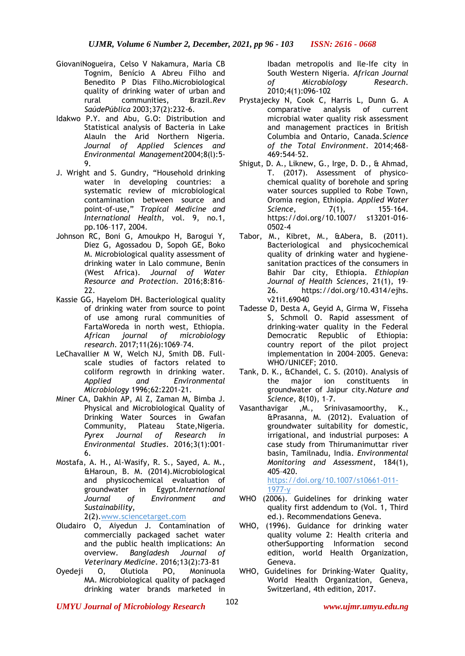- GiovaniNogueira, Celso V Nakamura, Maria CB Tognim, Benício A Abreu Filho and Benedito P Dias Filho.Microbiological quality of drinking water of urban and rural communities, Brazil.*Rev SaúdePública* 2003;37(2):232-6.
- Idakwo P.Y. and Abu, G.O: Distribution and Statistical analysis of Bacteria in Lake AlauIn the Arid Northern Nigeria. *Journal of Applied Sciences and Environmental Management*2004;8(l):5- 9.
- J. Wright and S. Gundry, "Household drinking water in developing countries: a systematic review of microbiological contamination between source and point-of-use," *Tropical Medicine and International Health*, vol. 9, no.1, pp.106–117, 2004.
- Johnson RC, Boni G, Amoukpo H, Barogui Y, Diez G, Agossadou D, Sopoh GE, Boko M. Microbiological quality assessment of drinking water in Lalo commune, Benin (West Africa). *Journal of Water Resource and Protection*. 2016;8:816– 22.
- Kassie GG, Hayelom DH. Bacteriological quality of drinking water from source to point of use among rural communities of FartaWoreda in north west, Ethiopia. *African journal of microbiology research*. 2017;11(26):1069–74.
- LeChavallier M W, Welch NJ, Smith DB. Fullscale studies of factors related to coliform regrowth in drinking water. *Applied and Environmental Microbiology* 1996;62:2201-21.
- Miner CA, Dakhin AP, Al Z, Zaman M, Bimba J. Physical and Microbiological Quality of Drinking Water Sources in Gwafan Community, Plateau State,Nigeria. *Pyrex Journal of Research in Environmental Studies*. 2016;3(1):001– 6.
- Mostafa, A. H., Al-Wasify, R. S., Sayed, A. M., &Haroun, B. M. (2014).Microbiological and physicochemical evaluation of groundwater in Egypt.*International Journal of Environment and Sustainability*,

2(2)[.www.sciencetarget.com](http://www.sciencetarget.com/)

- Oludairo O, Aiyedun J. Contamination of commercially packaged sachet water and the public health implications: An overview. *Bangladesh Journal of Veterinary Medicine*. 2016;13(2):73-81
- Oyedeji O, Olutiola PO, Moninuola MA. Microbiological quality of packaged drinking water brands marketed in

Ibadan metropolis and Ile-Ife city in South Western Nigeria. *African Journal of Microbiology Research*. 2010;4(1):096-102

- Prystajecky N, Cook C, Harris L, Dunn G. A comparative analysis of current microbial water quality risk assessment and management practices in British Columbia and Ontario, Canada.*Science of the Total Environment*. 2014;468- 469:544–52.
- Shigut, D. A., Liknew, G., Irge, D. D., & Ahmad, T. (2017). Assessment of physicochemical quality of borehole and spring water sources supplied to Robe Town, Oromia region, Ethiopia. *Applied Water Science*, 7(1), 155–164. https://doi.org/10.1007/ s13201-016- 0502-4
- Tabor, M., Kibret, M., &Abera, B. (2011). Bacteriological and physicochemical quality of drinking water and hygienesanitation practices of the consumers in Bahir Dar city, Ethiopia. *Ethiopian Journal of Health Sciences*, 21(1), 19– 26. [https://doi.org/10.4314/ejhs.](https://doi.org/10.4314/ejhs.%20v21i1.69040)  [v21i1.69040](https://doi.org/10.4314/ejhs.%20v21i1.69040)
- Tadesse D, Desta A, Geyid A, Girma W, Fisseha S, Schmoll O. Rapid assessment of drinking-water quality in the Federal Democratic Republic of Ethiopia: country report of the pilot project implementation in 2004–2005. Geneva: WHO/UNICEF; 2010.
- Tank, D. K., &Chandel, C. S. (2010). Analysis of the major ion constituents in groundwater of Jaipur city.*Nature and Science*, 8(10), 1–7.
- Vasanthavigar ,M., Srinivasamoorthy, K., &Prasanna, M. (2012). Evaluation of groundwater suitability for domestic, irrigational, and industrial purposes: A case study from Thirumanimuttar river basin, Tamilnadu, India. *Environmental Monitoring and Assessment*, 184(1), 405–420.

[https://doi.org/10.1007/s10661-011-](https://doi.org/10.1007/s10661-011-1977-y) [1977-y](https://doi.org/10.1007/s10661-011-1977-y)

- WHO (2006). Guidelines for drinking water quality first addendum to (Vol. 1, Third ed.). Recommendations Geneva.
- WHO, (1996). Guidance for drinking water quality volume 2: Health criteria and otherSupporting Information second edition, world Health Organization, Geneva.
- WHO, Guidelines for Drinking-Water Quality, World Health Organization, Geneva, Switzerland, 4th edition, 2017.

*UMYU Journal of Microbiology Research www.ujmr.umyu.edu.ng*